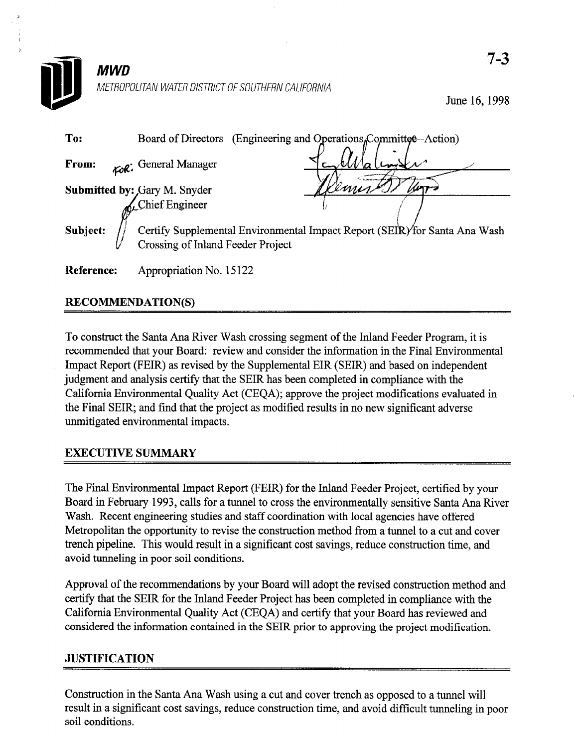

June 16,199s

| To:        | (Engineering and Operations <sub>n</sub> Committee--Action)<br>Board of Directors                               |
|------------|-----------------------------------------------------------------------------------------------------------------|
| From:      | For: General Manager                                                                                            |
|            | <b>Submitted by:</b> Gary M. Snyder<br>Chief Engineer                                                           |
| Subject:   | Certify Supplemental Environmental Impact Report (SEIR) for Santa Ana Wash<br>Crossing of Inland Feeder Project |
| Reference: | Appropriation No. 15122                                                                                         |

## RECOMMENDATION(S)

To construct the Santa Ana River Wash crossing segment of the Inland Feeder Program, it is recommended that your Board: review and consider the information in the Final Environmental Impact Report (FEIR) as revised by the Supplemental EIR (SEIR) and based on independent judgment and analysis certify that the SEIR has been completed in compliance with the California Environmental Quality Act (CEQA); approve the project modifications evaluated in Lationia Environmental Quality Act (CEQA), approve the project modifications evaluated une i mai bizhe, and mid una une pro

# EXECUTIVE SUMMARY

The Final Environmental Impact Report (FEIR) for the Inland Feeder Project, certified by your Board in February 1993, calls for a tunnel to cross the environmentally sensitive Santa Ana River Wash. Recent engineering studies and staff coordination with local agencies have offered Metropolitan the opportunity to revise the construction method from a tunnel to a cut and cover trench pipeline. This would result in a significant cost savings, reduce construction time, and avoid tunneling in poor soil conditions.

Approval of the recommendations by your Board will adopt the revised construction method and certify that the SEIR for the Inland Feeder Project has been completed in compliance with the California Environmental Quality Act (CEQA) and certify that your Board has reviewed and considered the information contained in the SEIR prior to approving the project modification.

# **JUSTIFICATION**

Construction in the Santa Ana Wash using a cut and cover trench as opposed to a tunnel will result in a significant cost savings, reduce construction time, and avoid difficult tunneling in poor soil conditions.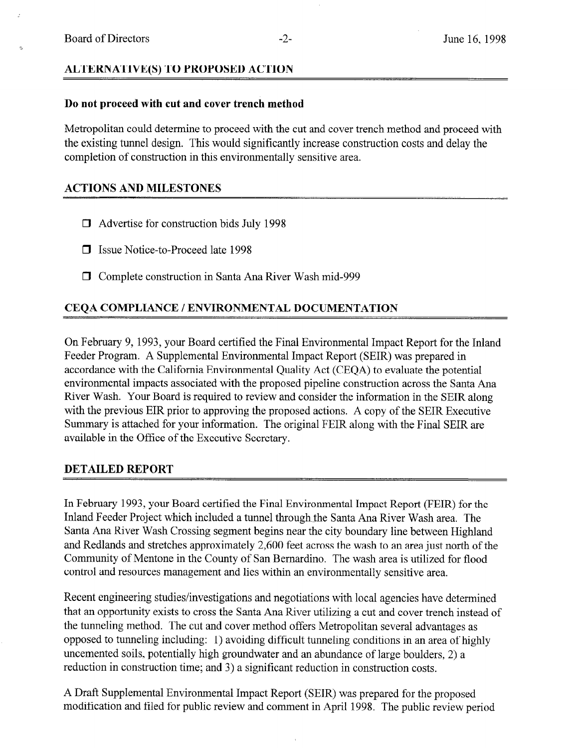#### ALTERNATIVE(S) TO PROPOSED ACTION

#### Do not proceed with cut and cover trench method

Metropolitan could determine to proceed with the cut and cover trench method and proceed with the existing tunnel design. This would significantly increase construction costs and delay the completion of construction in this environmentally sensitive area.

## ACTIONS AND MILESTONES

- $\Box$  Advertise for construction bids July 1998
- **D** Issue Notice-to-Proceed late 1998
- 0 Complete construction in Santa Ana River Wash mid-999

## CEQA COMPLIANCE / ENVIRONMENTAL DOCUMENTATION

On February 9, 1993, your Board certified the Final Environmental Impact Report for the Inland Feeder Program. A Supplemental Environmental Impact Report (SEIR) was prepared in accordance with the California Environmental Quality Act (CEQA) to evaluate the potential environmental impacts associated with the proposed pipeline construction across the Santa Ana River Wash. Your Board is required to review and consider the information in the SEIR along with the previous EIR prior to approving the proposed actions. A copy of the SEIR Executive Summary is attached for your information. The original FEIR along with the Final SEIR are available in the Office of the Executive Secretary.

## DETAILED REPORT

In February 1993, your Board certified the Final Environmental Impact Report (FEIR) for the Inland Feeder Project which included a tunnel through the Santa Ana River Wash area. The Santa Ana River Wash Crossing segment begins near the city boundary line between Highland and Redlands and stretches approximately 2,600 feet across the wash to an area just north of the Community of Mentone in the County of San Bernardino. The wash area is utilized for flood control and resources management and lies within an environmentally sensitive area.

Recent engineering studies/investigations and negotiations with local agencies have determined that an opportunity exists to cross the Santa Ana River utilizing a cut and cover trench instead of the tunneling method. The cut and cover method offers Metropolitan several advantages as opposed to tunneling including: 1) avoiding difficult tunneling conditions in an area of highly uncemented soils, potentially high groundwater and an abundance of large boulders, 2) a reduction in construction time; and 3) a significant reduction in construction costs.

A Draft Supplemental Environmental Impact Report (SEIR) was prepared for the proposed modification and filed for public review and comment in April 1998. The public review period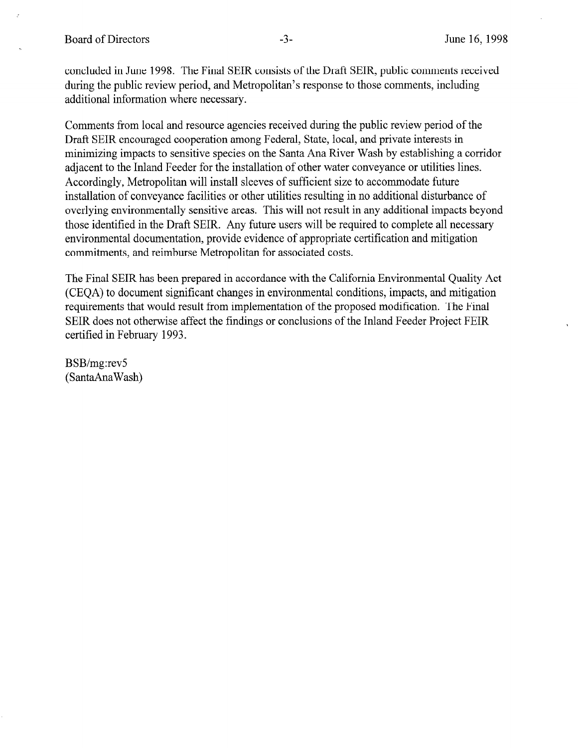concluded in June 1998. The Final SEIR consists of the Draft SEIR, public comments received during the public review period, and Metropolitan's response to those comments, including additional information where necessary.

Comments from local and resource agencies received during the public review period of the Draft SEIR encouraged cooperation among Federal, State, local, and private interests in minimizing impacts to sensitive species on the Santa Ana River Wash by establishing a corridor adjacent to the Inland Feeder for the installation of other water conveyance or utilities lines. Accordingly, Metropolitan will install sleeves of sufficient size to accommodate future installation of conveyance facilities or other utilities resulting in no additional disturbance of overlying environmentally sensitive areas. This will not result in any additional impacts beyond those identified in the Draft SEIR. Any future users will be required to complete all necessary environmental documentation, provide evidence of appropriate certification and mitigation commitments, and reimburse Metropolitan for associated costs.

The Final SEIR has been prepared in accordance with the California Environmental Quality Act (CEQA) to document significant changes in environmental conditions, impacts, and mitigation requirements that would result from implementation of the proposed modification. The Final SEIR does not otherwise affect the findings or conclusions of the Inland Feeder Project FEIR certified in February 1993.

BSB/mg:revS (SantaAnaWash)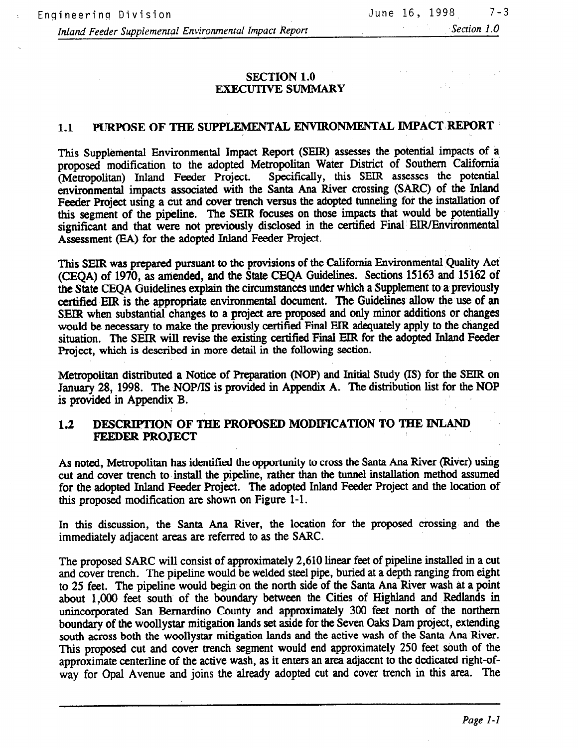#### SECTION 1.0 EXECUTIVE SUMMARY

# 1.1 PURPOSE OF THE SUPPLEMENTAL ENVIRONMENTAL IMPACT REPORT

This Supplemental Environmental Impact Report (SEIR) assesses the potential impacts of a proposed modification to the adopted Metropolitan Water District of Southern California (Metropolitan) Inland Feeder Project. Specifically, this SEIR assesses the potential environmental impacts associated with the Santa Ana River crossing (SARC) of the Inland Feeder Project using a cut and cover trench versus the adopted tunneling for the installation of this segment of the pipeline. The SEIR focuses on those impacts that would be potentially significant and that were not previously disclosed in the certified Final EIR/Environmental Assessment (EA) for the adopted Inland Feeder Project.

This SEIR was prepared pursuant to the provisions of the California Environmental Quality Act (CEQA) of 1970, as amended, and the State CEQA Guidelines. Sections 15163 and 15162 of the State CEQA Guidelines explain the circumstances under which a Supplement to a previously certified EIR is the appropriate environmental document. The Guidelines allow the use of an SEIR when substantial changes to a project are proposed and only minor additions or changes would be necessary to make the previously certified Final EIR adequately apply to the changed situation. The SEIR will revise the existing certified Final EIR for the adopted Inland Feeder Project, which is described in more detail in the following section.

Metropolitan distributed a Notice of Preparation (NOP) and Initial Study (IS) for the SEIR on January 28, 1998. The NOP/IS is provided in Appendix A. The distribution list for the NOP is provided in Appendix B.

#### 1.2 DESCRIPTION OF THE PROPOSED MODIFICATION TO THE INLAND FEEDER PROJECT

As noted, Metropolitan has identified the opportunity to cross the Santa Ana River (River) using cut and cover trench to install the pipeline, rather than the tunnel installation method assumed 'for the adopted Inland Feeder Project. The adopted Inland Feeder Project and the location of this proposed modification are shown on Figure l-l.

In this discussion, the Santa Ana River, the location for the proposed crossing and the immediately adjacent areas arc referred to as the SARC.

The proposed SARC will consist of approximately 2,610 linear feet of pipeline installed in a cut and cover trench. The pipeline would be welded steel pipe, buried at a depth ranging from eight to 25 feet. The pipeline would begin on the north side of the Santa Ana River wash at a point about 1,000 feet south of the boundary between the Cities of Highland and Redlands in unincorporated San Bernardino County and approximately 300 feet north of the northern boundary of the woollystar mitigation lands set aside for the Seven Oaks Dam project, extending south across both the woollystar mitigation lands and the active wash of the Santa Ana River. This proposed cut and cover trench segment would end approximately 250 feet south of the approximate centerline of the active wash, as it enters an area adjacent to the dedicated right-ofway for Opal Avenue and joins the already adopted cut and cover trench in this area. The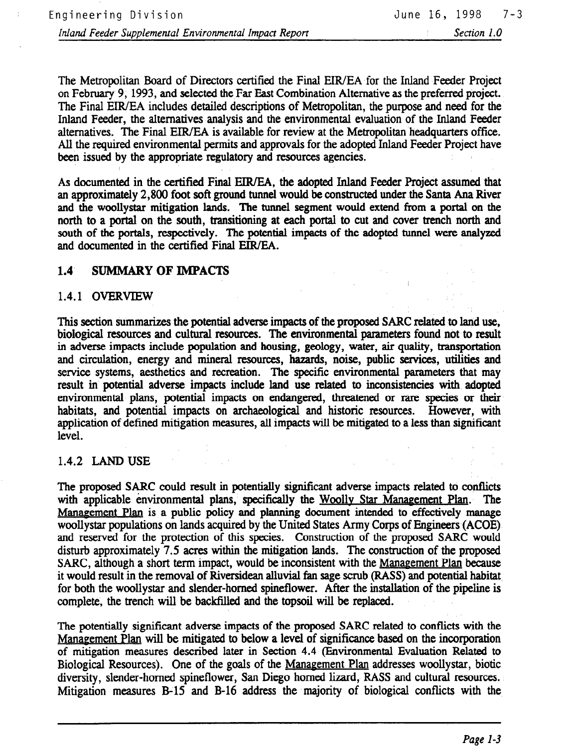The Metropolitan Board of Directors certified the Final EIR/EA for the Inland Feeder Project on February 9, 1993, and selected the Far East Combination Alternative as the preferred project. The Final EIR/EA includes detailed descriptions of Metropolitan, the purpose and need for the Inland Feeder, the alternatives analysis and the environmental evaluation of the Inland Feeder alternatives. The Final EIR/EA is available for review at the Metropolitan headquarters office. All the required environmental permits and approvals for the adopted Inland Feeder Project have been issued by the appropriate regulatory and resources agencies.

As documented in the certified Final EIR/EA, the adopted Inland Feeder Project assumed that an approximately 2,800 foot soft ground tunnel would be constructed under the Santa Ana River and the woollystar mitigation lands. The tunnel segment would extend from a portal on the north to a portal on the south, transitioning at each portal to cut and cover trench north and south of the portals, respectively. The potential impacts of the adopted tunnel were analyxed and documented in the certified Final EIR/EA.

#### 1.4 SUMMARY OF IMPACTS

#### 1.4.1 OVERVIEW

This section summarizes the potential adverse impacts of the proposed SARC related to land use, biological resources and cultural resources. The environmental parameters found not to result in adverse impacts include population and housing, geology, water, air quality, transportation in adverse impacts include population and housing, geology, water, air quality, transportation and circulation, energy and mineral resources, hazards, noise, public services, utilities and service systems, aesthetics and recreation. The specific environmental parameters that may result in potential adverse impacts include land use related to inconsistencies with adopted environmental plans, potential impacts on endangered, threatened or rare species or their habitats, and potential impacts on archaeological and historic resources. However, with application of defined mitigation measures, all impacts will be mitigated to a less than significant level.

## 1.4.2 LAND USE

The proposed SARC could result in potentially signi.licant adverse impacts related to comlicts The proposed SARC could result in potentially significant adverse impacts related to conflicts with applicable environmental plans, specifically the Woolly Star Management Plan. The Management Plan is a public policy and planning document intended to effectively manage woollystar populations on lands acquired by the United States Army Corps of Engineers (ACOE). and reserved for the protection of this species. Construction of the proposed SARC would disturb approximately 7.5 acres within the mitigation lands. The construction of the proposed SARC, although a short term impact, would be inconsistent with the Management Plan because it would result in the removal of Riversidean alluvial fan sage scrub (RASS) and potential habitat for both the woollystar and slender-horned spineflower. After the installation of the pipeline is complete, the trench will be backfilled and the topsoil will be replaced.

The potentially significant adverse impacts of the proposed SARC related to conflicts with the Management Plan will be mitigated to below a level of significance based on the incorporation of mitigation measures described later in Section 4.4 (Environmental Evaluation Related to Biological Resources). One of the goals of the Management Plan addresses woollystar, biotic diversity, slender-horned spineflower, San Diego horned lizard, RASS and cultural resources. Mitigation measures B-15 and B-16 address the majority of biological conflicts with the

The potentially significant adverse impacts of the proposed SARC related to conflicts with the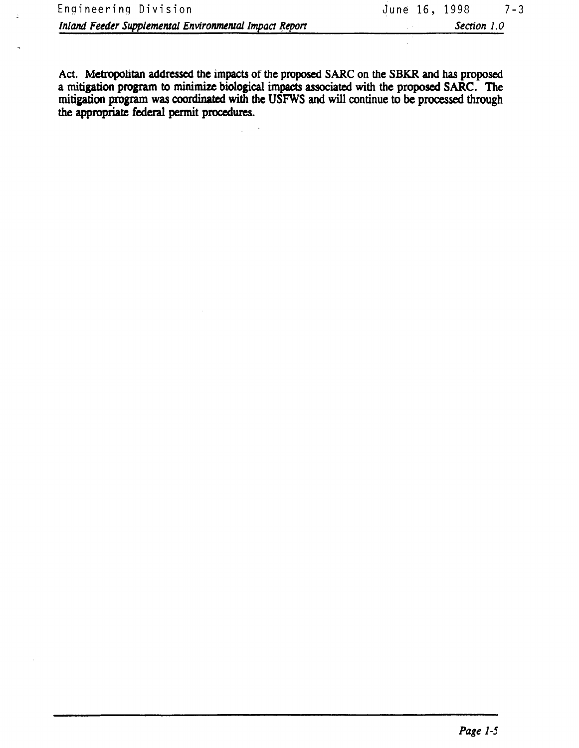Act. Metropolitan addressed the impacts of the proposed SARC on the SBKR and has proposed a mitigation program to minimize biological impacts associated with the proposed SARC. The mitigation program was coordinated with the USFWS and will continue to be processed through the appropriate federal permit procedures.